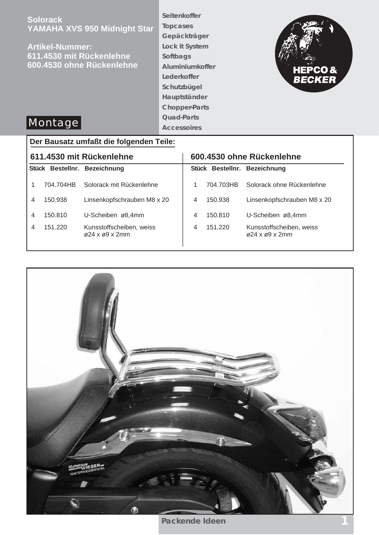| <b>Solorack</b><br>YAMAHA XVS 950 Midnight Star<br><b>Artikel-Nummer:</b><br>611.4530 mit Rückenlehne<br>600.4530 ohne Rückenlehne<br>Montage | Seitenkoffer<br><b>Topcases</b><br>Gepäckträger<br><b>Lock it System</b><br><b>Softbags</b><br>Aluminiumkoffer<br>Lederkoffer<br>Schutzbügel<br>Hauptständer<br><b>Chopper-Parts</b><br><b>Quad-Parts</b><br><b>Accessoires</b> | <b>HEPCO&amp;</b><br><b>BECKER</b> |
|-----------------------------------------------------------------------------------------------------------------------------------------------|---------------------------------------------------------------------------------------------------------------------------------------------------------------------------------------------------------------------------------|------------------------------------|
| Den Derreich- und 404 die felgen den Teiler                                                                                                   |                                                                                                                                                                                                                                 |                                    |

# **Der Bausatz umfaßt die folgenden Teile:**

| 611.4530 mit Rückenlehne |           |                                                              | 600.4530 ohne Rückenlehne |           |                                                              |
|--------------------------|-----------|--------------------------------------------------------------|---------------------------|-----------|--------------------------------------------------------------|
|                          |           | Stück Bestellnr. Bezeichnung                                 |                           |           | Stück Bestellnr. Bezeichnung                                 |
|                          | 704.704HB | Solorack mit Rückenlehne                                     |                           | 704.703HB | Solorack ohne Rückenlehne                                    |
| 4                        | 150.938   | Linsenkopfschrauben M8 x 20                                  | 4                         | 150.938   | Linsenkopfschrauben M8 x 20                                  |
| 4                        | 150.810   | U-Scheiben ø8,4mm                                            | 4                         | 150.810   | U-Scheiben ø8,4mm                                            |
| 4                        | 151.220   | Kunsstoffscheiben, weiss<br>$\varphi$ 24 x $\varphi$ 9 x 2mm | 4                         | 151.220   | Kunsstoffscheiben, weiss<br>$\varphi$ 24 x $\varphi$ 9 x 2mm |



**Packende Ideen**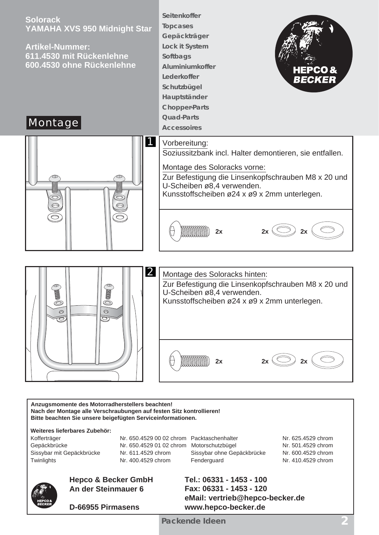

**Anzugsmomente des Motorradherstellers beachten! Nach der Montage alle Verschraubungen auf festen Sitz kontrollieren! Bitte beachten Sie unsere beigefügten Serviceinformationen.**

**Weiteres lieferbares Zubehör:**



Kofferträger **Nr. 650.4529 00 02 chrom Packtaschenhalter** Nr. 625.4529 chrom Gepäckbrücke Nr. 650.4529 01 02 chrom Motorschutzbügel Nr. 501.4529 chrom Sissybar mit Gepäckbrücke Nr. 611.4529 chrom Sissybar ohne Gepäckbrücke Nr. 600.4529 chrom Twinlights **Nr. 400.4529 chrom** Fenderguard Nr. 410.4529 chrom

> **Tel.: 06331 - 1453 - 100 Fax: 06331 - 1453 - 120**

**www.hepco-becker.de**

**eMail: vertrieb@hepco-becker.de**



### **Hepco & Becker GmbH An der Steinmauer 6**

**D-66955 Pirmasens**

**Packende Ideen 2**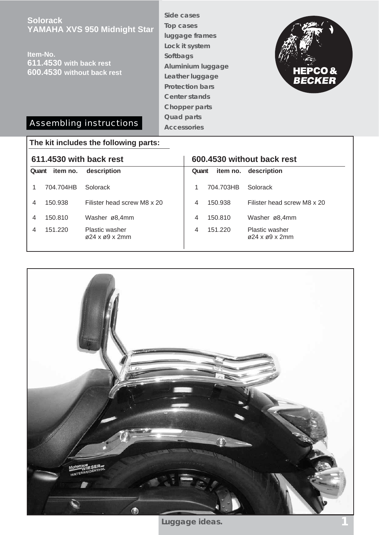**Solorack YAMAHA XVS 950 Midnight Star**

**Item-No. 611.4530 with back rest 600.4530 without back rest** **Side cases Top cases luggage frames Lock it system Softbags Aluminium luggage Leather luggage Protection bars Center stands Chopper parts Quad parts Accessories**



## Assembling instructions

| The kit includes the following parts: |                   |                                                           |                            |           |                                                         |  |  |
|---------------------------------------|-------------------|-----------------------------------------------------------|----------------------------|-----------|---------------------------------------------------------|--|--|
| 611.4530 with back rest               |                   |                                                           | 600.4530 without back rest |           |                                                         |  |  |
|                                       | item no.<br>Quant | description                                               | Quant                      | item no.  | description                                             |  |  |
|                                       | 704.704HB         | Solorack                                                  |                            | 704.703HB | Solorack                                                |  |  |
| 4                                     | 150.938           | Filister head screw M8 x 20                               | 4                          | 150.938   | Filister head screw M8 x 20                             |  |  |
| 4                                     | 150.810           | Washer ø8,4mm                                             | 4                          | 150.810   | Washer ø8,4mm                                           |  |  |
| 4                                     | 151.220           | <b>Plastic washer</b><br>$\varphi$ 24 x $\varphi$ 9 x 2mm | 4                          | 151.220   | <b>Plastic washer</b><br>$\alpha$ 24 x $\alpha$ 9 x 2mm |  |  |



Luggage ideas.